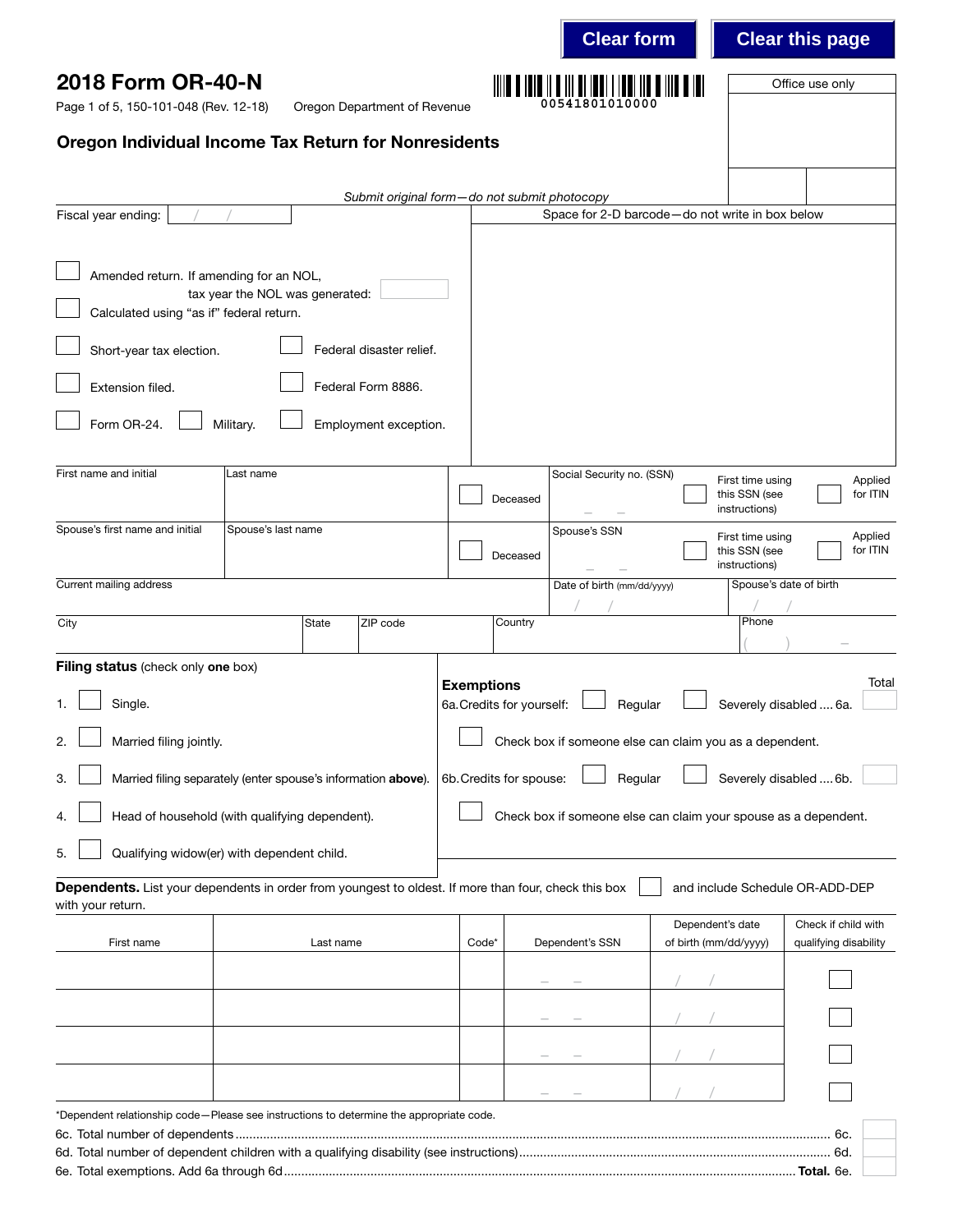|                                                                                                                           |                                 |           |                                              |                                                |                 | <b>Clear form</b>          |                                                         |                                                    | <b>Clear this page</b>                                          |
|---------------------------------------------------------------------------------------------------------------------------|---------------------------------|-----------|----------------------------------------------|------------------------------------------------|-----------------|----------------------------|---------------------------------------------------------|----------------------------------------------------|-----------------------------------------------------------------|
| 2018 Form OR-40-N<br>Page 1 of 5, 150-101-048 (Rev. 12-18)                                                                |                                 |           | Oregon Department of Revenue                 |                                                |                 | 00541801010000             |                                                         |                                                    | Office use only                                                 |
| <b>Oregon Individual Income Tax Return for Nonresidents</b>                                                               |                                 |           |                                              |                                                |                 |                            |                                                         |                                                    |                                                                 |
|                                                                                                                           |                                 |           | Submit original form-do not submit photocopy |                                                |                 |                            |                                                         |                                                    |                                                                 |
| Fiscal year ending:                                                                                                       |                                 |           |                                              |                                                |                 |                            | Space for 2-D barcode-do not write in box below         |                                                    |                                                                 |
| Amended return. If amending for an NOL,                                                                                   | tax year the NOL was generated: |           |                                              |                                                |                 |                            |                                                         |                                                    |                                                                 |
| Calculated using "as if" federal return.                                                                                  |                                 |           |                                              |                                                |                 |                            |                                                         |                                                    |                                                                 |
| Short-year tax election.                                                                                                  |                                 |           | Federal disaster relief.                     |                                                |                 |                            |                                                         |                                                    |                                                                 |
| Extension filed.                                                                                                          |                                 |           | Federal Form 8886.                           |                                                |                 |                            |                                                         |                                                    |                                                                 |
| Form OR-24.                                                                                                               | Military.                       |           | Employment exception.                        |                                                |                 |                            |                                                         |                                                    |                                                                 |
| First name and initial                                                                                                    | Last name                       |           |                                              |                                                | Deceased        | Social Security no. (SSN)  |                                                         | First time using<br>this SSN (see<br>instructions) | Applied<br>for ITIN                                             |
| Spouse's first name and initial                                                                                           | Spouse's last name              |           |                                              |                                                | Deceased        | Spouse's SSN               |                                                         | First time using<br>this SSN (see<br>instructions) | Applied<br>for ITIN                                             |
| Current mailing address                                                                                                   |                                 |           |                                              |                                                |                 | Date of birth (mm/dd/yyyy) |                                                         | Spouse's date of birth                             |                                                                 |
| City                                                                                                                      |                                 | State     | ZIP code                                     |                                                | Country         |                            |                                                         | Phone                                              |                                                                 |
| Filing status (check only one box)<br>Single.<br>1.<br>Married filing jointly.<br>2.                                      |                                 |           |                                              | <b>Exemptions</b><br>6a. Credits for yourself: |                 | Regular                    | Check box if someone else can claim you as a dependent. |                                                    | Total<br>Severely disabled  6a.                                 |
| Married filing separately (enter spouse's information above).<br>3.                                                       |                                 |           |                                              | 6b. Credits for spouse:                        |                 | Regular                    |                                                         |                                                    | Severely disabled  6b.                                          |
| Head of household (with qualifying dependent).<br>4.                                                                      |                                 |           |                                              |                                                |                 |                            |                                                         |                                                    | Check box if someone else can claim your spouse as a dependent. |
| Qualifying widow(er) with dependent child.<br>5.                                                                          |                                 |           |                                              |                                                |                 |                            |                                                         |                                                    |                                                                 |
| Dependents. List your dependents in order from youngest to oldest. If more than four, check this box<br>with your return. |                                 |           |                                              |                                                |                 |                            |                                                         |                                                    | and include Schedule OR-ADD-DEP                                 |
| First name                                                                                                                |                                 | Last name |                                              | Code*                                          | Dependent's SSN |                            | Dependent's date<br>of birth (mm/dd/yyyy)               |                                                    | Check if child with<br>qualifying disability                    |
|                                                                                                                           |                                 |           |                                              |                                                |                 |                            |                                                         |                                                    |                                                                 |
|                                                                                                                           |                                 |           |                                              |                                                |                 |                            |                                                         |                                                    |                                                                 |
|                                                                                                                           |                                 |           |                                              |                                                |                 |                            |                                                         |                                                    |                                                                 |
|                                                                                                                           |                                 |           |                                              |                                                |                 |                            |                                                         |                                                    |                                                                 |
| *Dependent relationship code-Please see instructions to determine the appropriate code.                                   |                                 |           |                                              |                                                |                 |                            |                                                         |                                                    |                                                                 |
|                                                                                                                           |                                 |           |                                              |                                                |                 |                            |                                                         |                                                    | 6c.<br>6d.                                                      |
|                                                                                                                           |                                 |           |                                              |                                                |                 |                            |                                                         |                                                    |                                                                 |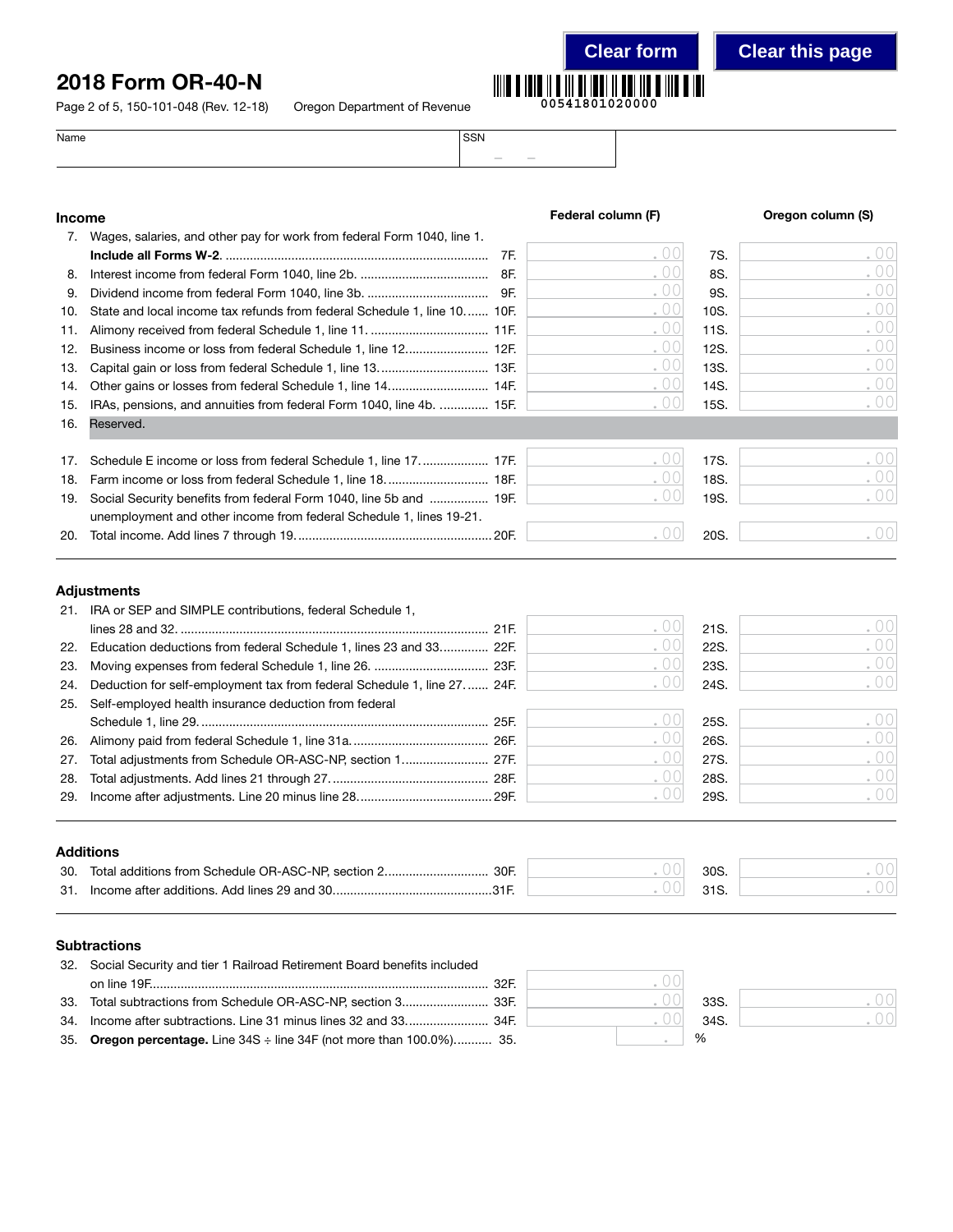## 2018 Form OR-40-N

Page 2 of 5, 150-101-048 (Rev. 12-18) Oregon Department of Revenue



**Clear form Clear this page**

| Name | SSN              |
|------|------------------|
|      | $\sim$<br>$\sim$ |
|      |                  |

## Income **Income Federal column (F)** Oregon column (S)

|     | 7. Wages, salaries, and other pay for work from federal Form 1040, line 1. |     |     |      |        |
|-----|----------------------------------------------------------------------------|-----|-----|------|--------|
|     |                                                                            | 7F. | .00 | 7S.  | .00    |
| 8.  |                                                                            |     | .00 | 8S.  | .00    |
| 9.  |                                                                            |     | .00 | 9S.  | .00    |
| 10. | State and local income tax refunds from federal Schedule 1, line 10 10F.   |     | .00 | 10S. | .00    |
| 11. |                                                                            |     | .00 | 11S. | . $00$ |
| 12. | Business income or loss from federal Schedule 1, line 12 12F.              |     | .00 | 12S. | .00    |
| 13. |                                                                            |     | .00 | 13S. | .00    |
| 14. |                                                                            |     | .00 | 14S. | .00    |
| 15. | IRAs, pensions, and annuities from federal Form 1040, line 4b.  15F.       |     | .00 | 15S. | .00    |
| 16. | Reserved.                                                                  |     |     |      |        |
| 17. | Schedule E income or loss from federal Schedule 1, line 17 17F.            |     | .00 | 17S. | .00    |
| 18. | Farm income or loss from federal Schedule 1, line 18.  18F.                |     | .00 | 18S. | .00    |
| 19. | Social Security benefits from federal Form 1040, line 5b and  19F.         |     | .00 | 19S. | .00    |
|     | unemployment and other income from federal Schedule 1, lines 19-21.        |     |     |      |        |
| 20. |                                                                            |     | .00 | 20S. | .00    |
|     | <b>Adjustments</b>                                                         |     |     |      |        |
|     | 21. IRA or SEP and SIMPLE contributions, federal Schedule 1,               |     |     |      |        |
|     |                                                                            |     | .00 | 21S. | .00    |
| 22. | Education deductions from federal Schedule 1, lines 23 and 33 22F.         |     | .00 | 22S. | .00    |
| 23. |                                                                            |     | .00 | 23S. | .00    |
| 24. | Deduction for self-employment tax from federal Schedule 1, line 27 24F.    |     | .00 | 24S. | .00    |
| 25. | Self-employed health insurance deduction from federal                      |     |     |      |        |
|     |                                                                            |     | .00 | 25S. | .00    |
| 26. |                                                                            |     | .00 | 26S. | .00    |
| 27. | Total adjustments from Schedule OR-ASC-NP, section 1 27F.                  |     | .00 | 27S. | .00    |

### Additions

| 30. | Total additions from Schedule OR-ASC-NP, section 2<br>30F | 30 <sub>S</sub> |  |
|-----|-----------------------------------------------------------|-----------------|--|
|     | 31. Income after additions. Add lines 29 and 30.          |                 |  |

#### **Subtractions**

| 32. Social Security and tier 1 Railroad Retirement Board benefits included             |  |      |
|----------------------------------------------------------------------------------------|--|------|
|                                                                                        |  |      |
|                                                                                        |  | 33S. |
|                                                                                        |  | 34S. |
| 35. Oregon percentage. Line $34S \div \text{line } 34F$ (not more than $100.0\%$ ) 35. |  | $\%$ |

28. Total adjustments. Add lines 21 through 27.............................................. 28F. 28S. 29. Income after adjustments. Line 20 minus line 28....................................... 29F. 29S.

| 33S.          |  |
|---------------|--|
| 34S.          |  |
| $\frac{0}{0}$ |  |

. 00 . 00

. 00  $\bigcirc$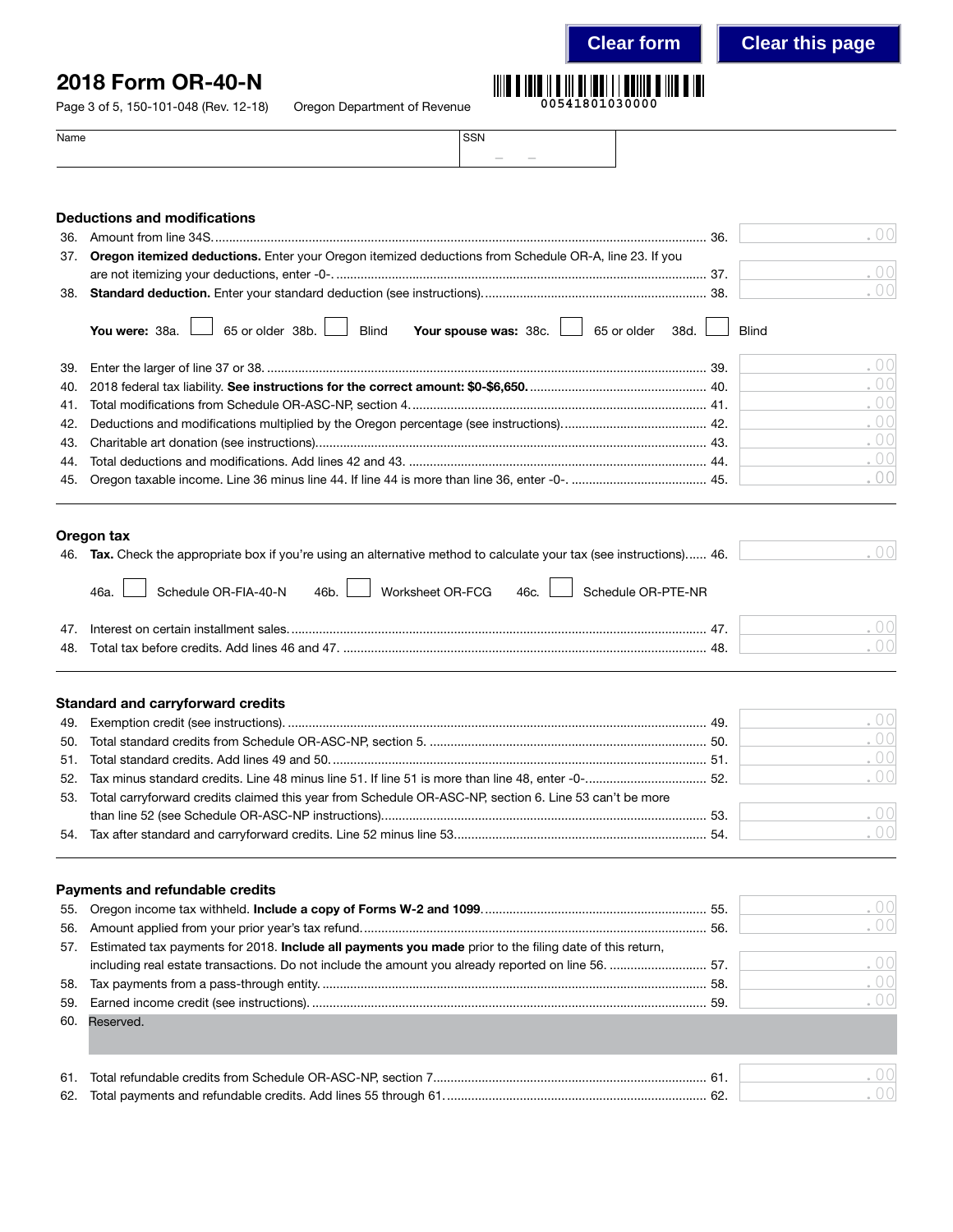**Clear form Clear this page**

# 2018 Form OR-40-N

Page 3 of 5, 150-101-048 (Rev. 12-18) Oregon D

| )epartment of Revenue | 00541801030000 |
|-----------------------|----------------|
|                       |                |

| $1$ aye $3$ OI 3, 130 - 101 - 040 (11ev. 12 - 10) | Oregon Department or nevenue |                  | ------------ |  |
|---------------------------------------------------|------------------------------|------------------|--------------|--|
| Name                                              |                              | SSN              |              |  |
|                                                   |                              | $\sim$<br>$\sim$ |              |  |

|            | <b>Deductions and modifications</b>                                                                                                                                                                                                        |              |                 |
|------------|--------------------------------------------------------------------------------------------------------------------------------------------------------------------------------------------------------------------------------------------|--------------|-----------------|
| 36.        |                                                                                                                                                                                                                                            | 36.          | 00              |
| 37.        | Oregon itemized deductions. Enter your Oregon itemized deductions from Schedule OR-A, line 23. If you                                                                                                                                      |              |                 |
|            |                                                                                                                                                                                                                                            |              | . $00$          |
| 38.        |                                                                                                                                                                                                                                            |              | .00             |
|            | 65 or older $38b.$<br>You were: 38a.<br><b>Blind</b><br>Your spouse was: 38c.<br>65 or older<br>38d.                                                                                                                                       | <b>Blind</b> |                 |
| 39.        |                                                                                                                                                                                                                                            |              | .00             |
| 40.        |                                                                                                                                                                                                                                            |              | .00             |
| 41.        |                                                                                                                                                                                                                                            |              | .00             |
| 42.        |                                                                                                                                                                                                                                            |              | .00             |
| 43.        |                                                                                                                                                                                                                                            |              | .00             |
| 44.        |                                                                                                                                                                                                                                            |              | .00             |
| 45.        |                                                                                                                                                                                                                                            |              | .00             |
| 47.<br>48. | Oregon tax<br>46. Tax. Check the appropriate box if you're using an alternative method to calculate your tax (see instructions) 46.<br>Schedule OR-PTE-NR<br>Schedule OR-FIA-40-N<br>Worksheet OR-FCG<br>46c.<br>46 <sub>b</sub> .<br>46a. |              | 00<br>.00<br>00 |
| 49.        | <b>Standard and carryforward credits</b>                                                                                                                                                                                                   |              | .00             |
| 50.        |                                                                                                                                                                                                                                            |              | 00              |
| 51.        |                                                                                                                                                                                                                                            |              | .00             |
| 52.        |                                                                                                                                                                                                                                            |              | . $00$          |
| 53.        | Total carryforward credits claimed this year from Schedule OR-ASC-NP, section 6. Line 53 can't be more                                                                                                                                     |              |                 |
|            |                                                                                                                                                                                                                                            |              | .00             |
|            |                                                                                                                                                                                                                                            |              | .00             |
|            | Payments and refundable credits                                                                                                                                                                                                            |              |                 |
| 55.        |                                                                                                                                                                                                                                            |              | 00              |
| 56.        |                                                                                                                                                                                                                                            |              | 00              |
| 57.        | Estimated tax payments for 2018. Include all payments you made prior to the filing date of this return,                                                                                                                                    |              |                 |
|            | including real estate transactions. Do not include the amount you already reported on line 56.  57.                                                                                                                                        |              | 00              |
| 58.        |                                                                                                                                                                                                                                            |              | .00             |
| 59.        |                                                                                                                                                                                                                                            | 59.          | 00              |
| 60.        | Reserved.                                                                                                                                                                                                                                  |              |                 |
| 61.        |                                                                                                                                                                                                                                            |              | . 00            |
| 62.        |                                                                                                                                                                                                                                            |              | 00              |
|            |                                                                                                                                                                                                                                            |              |                 |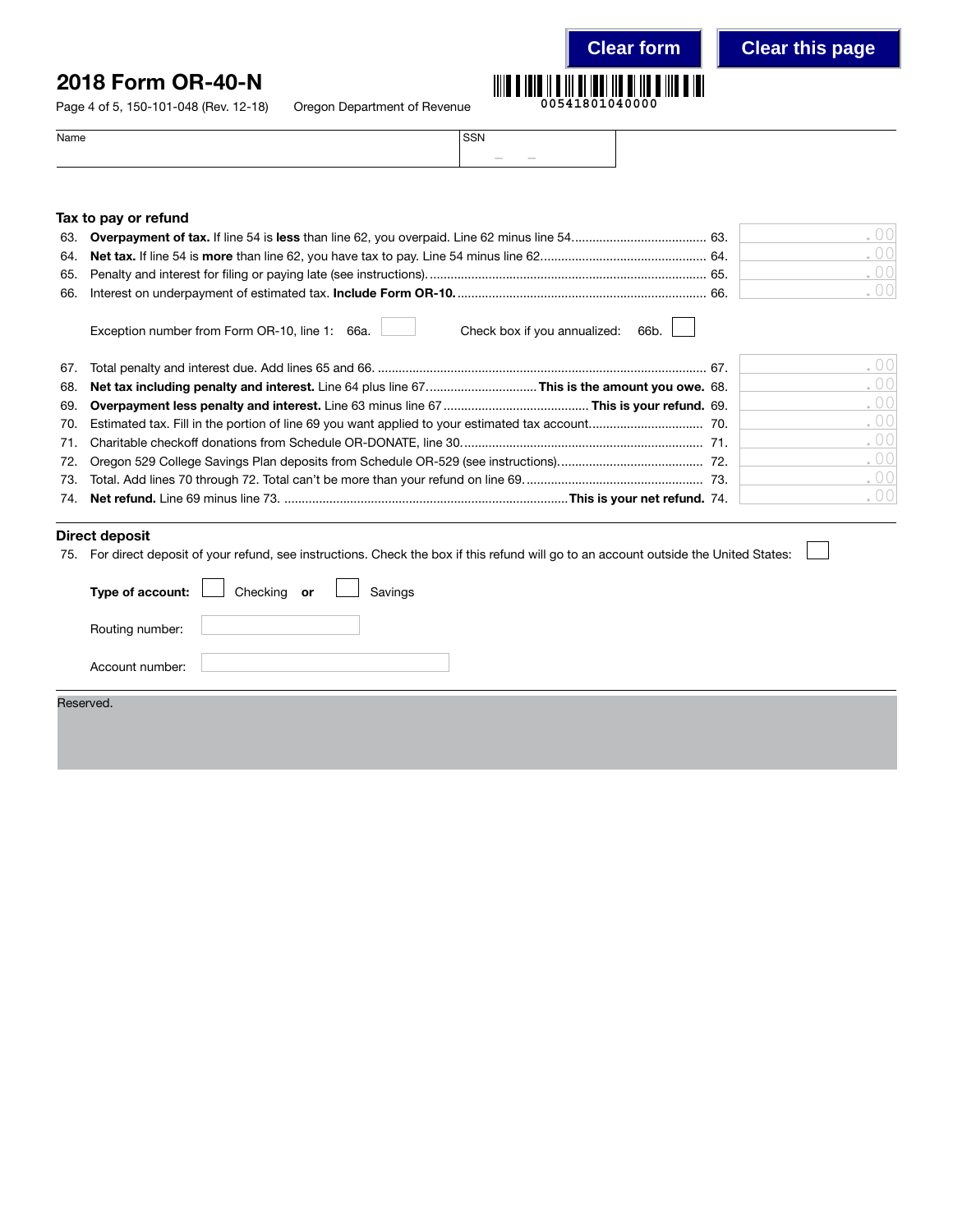## 2018 Form OR-40-N

Page 4 of 5, 150-101-048 (Rev. 12-18) Oregon Department of Revenue

|  | 00541801040000 |  |  |  |  |
|--|----------------|--|--|--|--|

| Name | <b>SSN</b>                                                                                                                                                                                                                                                                                                                                                                                                                                                                           |  |
|------|--------------------------------------------------------------------------------------------------------------------------------------------------------------------------------------------------------------------------------------------------------------------------------------------------------------------------------------------------------------------------------------------------------------------------------------------------------------------------------------|--|
|      | $\frac{1}{2} \left( \frac{1}{2} \right) \left( \frac{1}{2} \right) \left( \frac{1}{2} \right) \left( \frac{1}{2} \right) \left( \frac{1}{2} \right) \left( \frac{1}{2} \right) \left( \frac{1}{2} \right) \left( \frac{1}{2} \right) \left( \frac{1}{2} \right) \left( \frac{1}{2} \right) \left( \frac{1}{2} \right) \left( \frac{1}{2} \right) \left( \frac{1}{2} \right) \left( \frac{1}{2} \right) \left( \frac{1}{2} \right) \left( \frac{1}{2} \right) \left( \frac$<br>$\sim$ |  |

#### Tax to pay or refund

|  | $\left( \begin{array}{c} 0 \\ 0 \end{array} \right)$ |
|--|------------------------------------------------------|
|  |                                                      |

Exception number from Form OR-10, line 1: 66a. Check box if you annualized: 66b.

|                                                                                                 | .00 |
|-------------------------------------------------------------------------------------------------|-----|
| 68. Net tax including penalty and interest. Line 64 plus line 67This is the amount you owe. 68. | .00 |
|                                                                                                 | .00 |
|                                                                                                 | .00 |
|                                                                                                 | .00 |
|                                                                                                 | .00 |
|                                                                                                 | .00 |
|                                                                                                 | .00 |

### Direct deposit

75. For direct deposit of your refund, see instructions. Check the box if this refund will go to an account outside the United States:  $\frac{1}{2}$ 

| Type of account: Cohecking or Collections |  |  |
|-------------------------------------------|--|--|
| Routing number:                           |  |  |
| Account number:                           |  |  |
| Reserved                                  |  |  |

| ∩                 |
|-------------------|
| $\bigcap$<br>0    |
| $\bigcap \bigcap$ |
| 0 <sup>0</sup>    |
| $\left( \right)$  |
| $\cap \cap$       |
|                   |